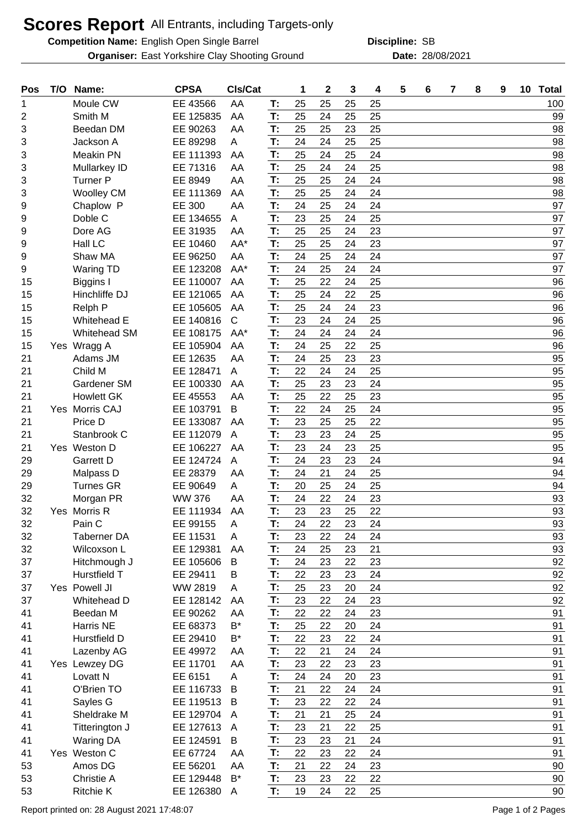## **Scores Report** All Entrants, including Targets-only

**Competition Name:** English Open Single Barrel **SB Competition Compact SB** Discipline: SB

**Organiser:** East Yorkshire Clay Shooting Ground **28/08/2021** Date: 28/08/2021

**Discipline:**

| Pos | T/O | Name:               | <b>CPSA</b>   | CIs/Cat              |    | 1  | $\mathbf 2$ | 3  | 4  | 5 | 6 | 7 | 8 | 9 | 10 | <b>Total</b> |
|-----|-----|---------------------|---------------|----------------------|----|----|-------------|----|----|---|---|---|---|---|----|--------------|
| 1   |     | Moule CW            | EE 43566      | AA                   | Т: | 25 | 25          | 25 | 25 |   |   |   |   |   |    | 100          |
| 2   |     | Smith M             | EE 125835     | AA                   | T: | 25 | 24          | 25 | 25 |   |   |   |   |   |    | 99           |
| 3   |     | Beedan DM           | EE 90263      | AA                   | T: | 25 | 25          | 23 | 25 |   |   |   |   |   |    | 98           |
| 3   |     | Jackson A           | EE 89298      | A                    | T: | 24 | 24          | 25 | 25 |   |   |   |   |   |    | 98           |
| 3   |     | <b>Meakin PN</b>    | EE 111393     | AA                   | T: | 25 | 24          | 25 | 24 |   |   |   |   |   |    | 98           |
| 3   |     | Mullarkey ID        | EE 71316      | AA                   | T: | 25 | 24          | 24 | 25 |   |   |   |   |   |    | 98           |
| 3   |     | Turner P            | EE 8949       | AA                   | T: | 25 | 25          | 24 | 24 |   |   |   |   |   |    | 98           |
| 3   |     | <b>Woolley CM</b>   | EE 111369     | AA                   | T: | 25 | 25          | 24 | 24 |   |   |   |   |   |    | 98           |
| 9   |     | Chaplow P           | EE 300        | AA                   | T: | 24 | 25          | 24 | 24 |   |   |   |   |   |    | 97           |
| 9   |     | Doble C             | EE 134655     | A                    | T: | 23 | 25          | 24 | 25 |   |   |   |   |   |    | 97           |
| 9   |     | Dore AG             | EE 31935      | AA                   | T: | 25 | 25          | 24 | 23 |   |   |   |   |   |    | 97           |
| 9   |     | Hall LC             | EE 10460      | AA*                  | T: | 25 | 25          | 24 | 23 |   |   |   |   |   |    | 97           |
| 9   |     | Shaw MA             | EE 96250      | AA                   | T: | 24 | 25          | 24 | 24 |   |   |   |   |   |    | 97           |
| 9   |     | <b>Waring TD</b>    | EE 123208     | AA*                  | T: | 24 | 25          | 24 | 24 |   |   |   |   |   |    | 97           |
| 15  |     | Biggins I           | EE 110007     | AA                   | T: | 25 | 22          | 24 | 25 |   |   |   |   |   |    | 96           |
| 15  |     | Hinchliffe DJ       | EE 121065     | AA                   | T: | 25 | 24          | 22 | 25 |   |   |   |   |   |    | 96           |
| 15  |     | Relph P             | EE 105605     | AA                   | T: | 25 | 24          | 24 | 23 |   |   |   |   |   |    | 96           |
| 15  |     | Whitehead E         | EE 140816     | $\mathsf{C}$         | T: | 23 | 24          | 24 | 25 |   |   |   |   |   |    | 96           |
| 15  |     | <b>Whitehead SM</b> | EE 108175     | AA*                  | T: | 24 | 24          | 24 | 24 |   |   |   |   |   |    | 96           |
| 15  |     | Yes Wragg A         | EE 105904     | AA                   | T: | 24 | 25          | 22 | 25 |   |   |   |   |   |    | 96           |
| 21  |     | Adams JM            | EE 12635      | AA                   | T: | 24 | 25          | 23 | 23 |   |   |   |   |   |    | 95           |
| 21  |     | Child M             | EE 128471     | A                    | T: | 22 | 24          | 24 | 25 |   |   |   |   |   |    | 95           |
| 21  |     | Gardener SM         | EE 100330     | AA                   | T: | 25 | 23          | 23 | 24 |   |   |   |   |   |    | 95           |
| 21  |     | <b>Howlett GK</b>   | EE 45553      | AA                   | T: | 25 | 22          | 25 | 23 |   |   |   |   |   |    | 95           |
| 21  |     | Yes Morris CAJ      | EE 103791     | B                    | T: | 22 | 24          | 25 | 24 |   |   |   |   |   |    | 95           |
| 21  |     | Price D             | EE 133087     | AA                   | T: | 23 | 25          | 25 | 22 |   |   |   |   |   |    | 95           |
| 21  |     | Stanbrook C         | EE 112079     | A                    | T: | 23 | 23          | 24 | 25 |   |   |   |   |   |    | 95           |
| 21  |     | Yes Weston D        | EE 106227     | AA                   | T: | 23 | 24          | 23 | 25 |   |   |   |   |   |    | 95           |
| 29  |     | <b>Garrett D</b>    | EE 124724     | A                    | T: | 24 | 23          | 23 | 24 |   |   |   |   |   |    | 94           |
| 29  |     | Malpass D           | EE 28379      | AA                   | T: | 24 | 21          | 24 | 25 |   |   |   |   |   |    | 94           |
| 29  |     | <b>Turnes GR</b>    | EE 90649      | A                    | T: | 20 | 25          | 24 | 25 |   |   |   |   |   |    | 94           |
| 32  |     | Morgan PR           | <b>WW 376</b> | AA                   | T: | 24 | 22          | 24 | 23 |   |   |   |   |   |    | 93           |
| 32  |     | Yes Morris R        | EE 111934     | AA                   | T: | 23 | 23          | 25 | 22 |   |   |   |   |   |    | 93           |
| 32  |     | Pain C              | EE 99155      | A                    | T: | 24 | 22          | 23 | 24 |   |   |   |   |   |    | 93           |
| 32  |     | <b>Taberner DA</b>  | EE 11531      | A                    | T: | 23 | 22          | 24 | 24 |   |   |   |   |   |    | 93           |
| 32  |     | Wilcoxson L         | EE 129381     | AA                   | T: | 24 | 25          | 23 | 21 |   |   |   |   |   |    | 93           |
| 37  |     | Hitchmough J        | EE 105606     | B                    | T: | 24 | 23          | 22 | 23 |   |   |   |   |   |    | 92           |
| 37  |     | Hurstfield T        | EE 29411      | в                    | T: | 22 | 23          | 23 | 24 |   |   |   |   |   |    | 92           |
| 37  |     | Yes Powell JI       | WW 2819       | A                    | T: | 25 | 23          | 20 | 24 |   |   |   |   |   |    | 92           |
| 37  |     | Whitehead D         | EE 128142     | AA                   | T: | 23 | 22          | 24 | 23 |   |   |   |   |   |    | 92           |
| 41  |     | Beedan M            | EE 90262      | AA                   | T: | 22 | 22          | 24 | 23 |   |   |   |   |   |    | 91           |
| 41  |     | Harris NE           | EE 68373      | $\mathsf{B}^{\star}$ | T: | 25 | 22          | 20 | 24 |   |   |   |   |   |    | 91           |
| 41  |     | Hurstfield D        | EE 29410      | B*                   | T: | 22 | 23          |    | 24 |   |   |   |   |   |    | 91           |
|     |     |                     |               |                      |    |    |             | 22 |    |   |   |   |   |   |    |              |
| 41  |     | Lazenby AG          | EE 49972      | AA                   | T: | 22 | 21          | 24 | 24 |   |   |   |   |   |    | 91           |
| 41  |     | Yes Lewzey DG       | EE 11701      | AA                   | T: | 23 | 22          | 23 | 23 |   |   |   |   |   |    | 91           |
| 41  |     | Lovatt N            | EE 6151       | A                    | T: | 24 | 24          | 20 | 23 |   |   |   |   |   |    | 91           |
| 41  |     | O'Brien TO          | EE 116733     | B                    | T: | 21 | 22          | 24 | 24 |   |   |   |   |   |    | 91           |
| 41  |     | Sayles G            | EE 119513     | B                    | T: | 23 | 22          | 22 | 24 |   |   |   |   |   |    | 91           |
| 41  |     | Sheldrake M         | EE 129704     | A                    | T: | 21 | 21          | 25 | 24 |   |   |   |   |   |    | 91           |
| 41  |     | Titterington J      | EE 127613     | A                    | T: | 23 | 21          | 22 | 25 |   |   |   |   |   |    | 91           |
| 41  |     | <b>Waring DA</b>    | EE 124591     | B                    | T: | 23 | 23          | 21 | 24 |   |   |   |   |   |    | 91           |
| 41  |     | Yes Weston C        | EE 67724      | AA                   | T: | 22 | 23          | 22 | 24 |   |   |   |   |   |    | 91           |
| 53  |     | Amos DG             | EE 56201      | AA                   | T: | 21 | 22          | 24 | 23 |   |   |   |   |   |    | 90           |
| 53  |     | Christie A          | EE 129448     | $B^*$                | T: | 23 | 23          | 22 | 22 |   |   |   |   |   |    | 90           |
| 53  |     | <b>Ritchie K</b>    | EE 126380     | A                    | T: | 19 | 24          | 22 | 25 |   |   |   |   |   |    | 90           |